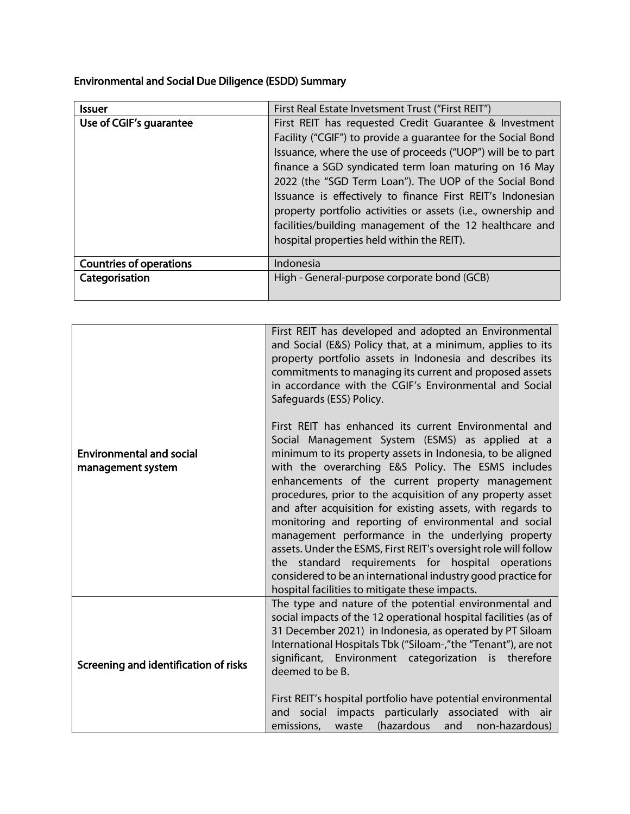Environmental and Social Due Diligence (ESDD) Summary

| <b>Issuer</b>                  | First Real Estate Invetsment Trust ("First REIT")            |
|--------------------------------|--------------------------------------------------------------|
| Use of CGIF's guarantee        | First REIT has requested Credit Guarantee & Investment       |
|                                | Facility ("CGIF") to provide a guarantee for the Social Bond |
|                                | Issuance, where the use of proceeds ("UOP") will be to part  |
|                                | finance a SGD syndicated term loan maturing on 16 May        |
|                                | 2022 (the "SGD Term Loan"). The UOP of the Social Bond       |
|                                | Issuance is effectively to finance First REIT's Indonesian   |
|                                | property portfolio activities or assets (i.e., ownership and |
|                                | facilities/building management of the 12 healthcare and      |
|                                | hospital properties held within the REIT).                   |
|                                |                                                              |
| <b>Countries of operations</b> | Indonesia                                                    |
| Categorisation                 | High - General-purpose corporate bond (GCB)                  |
|                                |                                                              |

|                                                      | First REIT has developed and adopted an Environmental<br>and Social (E&S) Policy that, at a minimum, applies to its<br>property portfolio assets in Indonesia and describes its<br>commitments to managing its current and proposed assets<br>in accordance with the CGIF's Environmental and Social<br>Safeguards (ESS) Policy.                                                                                                                                                                                                                                                                                                                                                                                                                                   |
|------------------------------------------------------|--------------------------------------------------------------------------------------------------------------------------------------------------------------------------------------------------------------------------------------------------------------------------------------------------------------------------------------------------------------------------------------------------------------------------------------------------------------------------------------------------------------------------------------------------------------------------------------------------------------------------------------------------------------------------------------------------------------------------------------------------------------------|
| <b>Environmental and social</b><br>management system | First REIT has enhanced its current Environmental and<br>Social Management System (ESMS) as applied at a<br>minimum to its property assets in Indonesia, to be aligned<br>with the overarching E&S Policy. The ESMS includes<br>enhancements of the current property management<br>procedures, prior to the acquisition of any property asset<br>and after acquisition for existing assets, with regards to<br>monitoring and reporting of environmental and social<br>management performance in the underlying property<br>assets. Under the ESMS, First REIT's oversight role will follow<br>the standard requirements for hospital operations<br>considered to be an international industry good practice for<br>hospital facilities to mitigate these impacts. |
| Screening and identification of risks                | The type and nature of the potential environmental and<br>social impacts of the 12 operational hospital facilities (as of<br>31 December 2021) in Indonesia, as operated by PT Siloam<br>International Hospitals Tbk ("Siloam-,"the "Tenant"), are not<br>significant, Environment categorization is therefore<br>deemed to be B.<br>First REIT's hospital portfolio have potential environmental<br>and social impacts particularly associated with air<br>(hazardous<br>emissions,<br>non-hazardous)<br>waste<br>and                                                                                                                                                                                                                                             |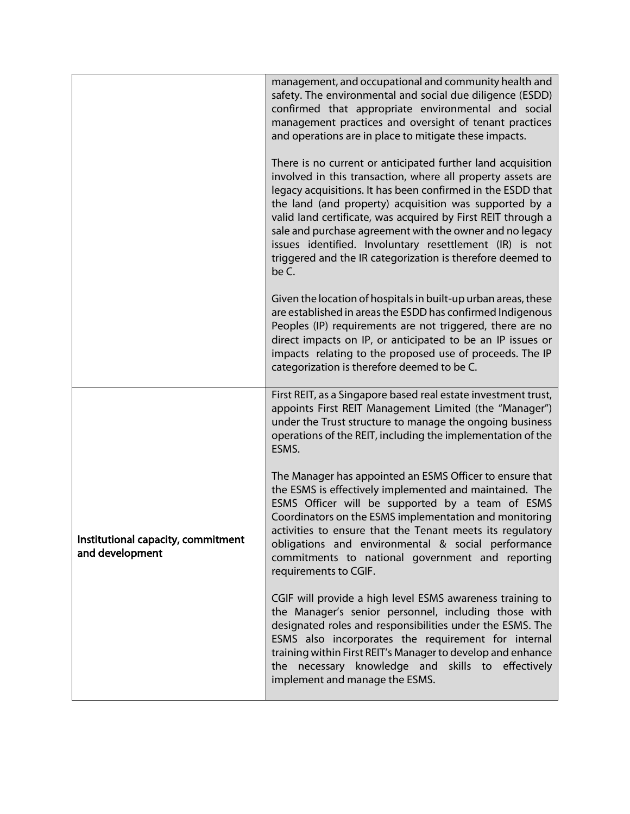|                                                       | management, and occupational and community health and<br>safety. The environmental and social due diligence (ESDD)<br>confirmed that appropriate environmental and social<br>management practices and oversight of tenant practices<br>and operations are in place to mitigate these impacts.                                                                                                                                                                                                                     |
|-------------------------------------------------------|-------------------------------------------------------------------------------------------------------------------------------------------------------------------------------------------------------------------------------------------------------------------------------------------------------------------------------------------------------------------------------------------------------------------------------------------------------------------------------------------------------------------|
|                                                       | There is no current or anticipated further land acquisition<br>involved in this transaction, where all property assets are<br>legacy acquisitions. It has been confirmed in the ESDD that<br>the land (and property) acquisition was supported by a<br>valid land certificate, was acquired by First REIT through a<br>sale and purchase agreement with the owner and no legacy<br>issues identified. Involuntary resettlement (IR) is not<br>triggered and the IR categorization is therefore deemed to<br>be C. |
|                                                       | Given the location of hospitals in built-up urban areas, these<br>are established in areas the ESDD has confirmed Indigenous<br>Peoples (IP) requirements are not triggered, there are no<br>direct impacts on IP, or anticipated to be an IP issues or<br>impacts relating to the proposed use of proceeds. The IP<br>categorization is therefore deemed to be C.                                                                                                                                                |
|                                                       | First REIT, as a Singapore based real estate investment trust,<br>appoints First REIT Management Limited (the "Manager")<br>under the Trust structure to manage the ongoing business<br>operations of the REIT, including the implementation of the<br>ESMS.                                                                                                                                                                                                                                                      |
| Institutional capacity, commitment<br>and development | The Manager has appointed an ESMS Officer to ensure that<br>the ESMS is effectively implemented and maintained. The<br>ESMS Officer will be supported by a team of ESMS<br>Coordinators on the ESMS implementation and monitoring<br>activities to ensure that the Tenant meets its regulatory<br>obligations and environmental & social performance<br>commitments to national government and reporting<br>requirements to CGIF.                                                                                 |
|                                                       | CGIF will provide a high level ESMS awareness training to<br>the Manager's senior personnel, including those with<br>designated roles and responsibilities under the ESMS. The<br>ESMS also incorporates the requirement for internal<br>training within First REIT's Manager to develop and enhance<br>the necessary knowledge and skills to effectively<br>implement and manage the ESMS.                                                                                                                       |